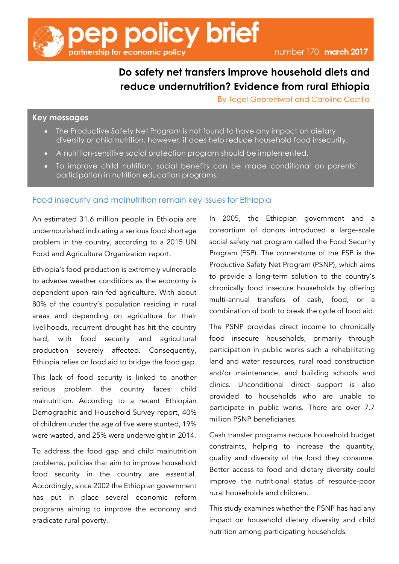

### **Do safety net transfers improve household diets and reduce undernutrition? Evidence from rural Ethiopia**

By Tagel Gebrehiwot and Carolina Castilla

#### **Key messages**

- The Productive Safety Net Program is not found to have any impact on dietary diversity or child nutrition, however, it does help reduce household food insecurity.
- A nutrition-sensitive social protection program should be implemented.
- To improve child nutrition, social benefits can be made conditional on parents' participation in nutrition education programs.

#### Food insecurity and malnutrition remain key issues for Ethiopia

An estimated 31.6 million people in Ethiopia are undernourished indicating a serious food shortage problem in the country, according to a 2015 UN Food and Agriculture Organization report.

Ethiopia's food production is extremely vulnerable to adverse weather conditions as the economy is dependent upon rain-fed agriculture. With about 80% of the country's population residing in rural areas and depending on agriculture for their livelihoods, recurrent drought has hit the country hard, with food security and agricultural production severely affected. Consequently, Ethiopia relies on food aid to bridge the food gap.

This lack of food security is linked to another serious problem the country faces: child malnutrition. According to a recent Ethiopian Demographic and Household Survey report, 40% of children under the age of five were stunted, 19% were wasted, and 25% were underweight in 2014.

To address the food gap and child malnutrition problems, policies that aim to improve household food security in the country are essential. Accordingly, since 2002 the Ethiopian government has put in place several economic reform programs aiming to improve the economy and eradicate rural poverty.

In 2005, the Ethiopian government and a consortium of donors introduced a large-scale social safety net program called the Food Security Program (FSP). The cornerstone of the FSP is the Productive Safety Net Program (PSNP), which aims to provide a long-term solution to the country's chronically food insecure households by offering multi-annual transfers of cash, food, or a combination of both to break the cycle of food aid.

The PSNP provides direct income to chronically food insecure households, primarily through participation in public works such a rehabilitating land and water resources, rural road construction and/or maintenance, and building schools and clinics. Unconditional direct support is also provided to households who are unable to participate in public works. There are over 7.7 million PSNP beneficiaries.

Cash transfer programs reduce household budget constraints, helping to increase the quantity, quality and diversity of the food they consume. Better access to food and dietary diversity could improve the nutritional status of resource-poor rural households and children.

This study examines whether the PSNP has had any impact on household dietary diversity and child nutrition among participating households.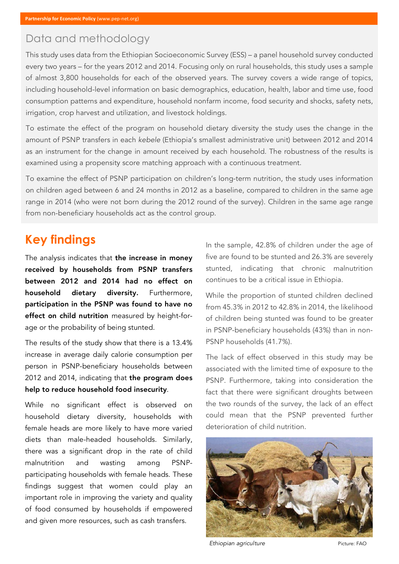## Data and methodology

This study uses data from the Ethiopian Socioeconomic Survey (ESS) – a panel household survey conducted every two years – for the years 2012 and 2014. Focusing only on rural households, this study uses a sample of almost 3,800 households for each of the observed years. The survey covers a wide range of topics, including household-level information on basic demographics, education, health, labor and time use, food consumption patterns and expenditure, household nonfarm income, food security and shocks, safety nets, irrigation, crop harvest and utilization, and livestock holdings.

To estimate the effect of the program on household dietary diversity the study uses the change in the amount of PSNP transfers in each *kebele* (Ethiopia's smallest administrative unit) between 2012 and 2014 as an instrument for the change in amount received by each household. The robustness of the results is examined using a propensity score matching approach with a continuous treatment.

To examine the effect of PSNP participation on children's long-term nutrition, the study uses information on children aged between 6 and 24 months in 2012 as a baseline, compared to children in the same age range in 2014 (who were not born during the 2012 round of the survey). Children in the same age range from non-beneficiary households act as the control group.

## **Key findings**

The analysis indicates that the increase in money received by households from PSNP transfers between 2012 and 2014 had no effect on household dietary diversity. Furthermore, participation in the PSNP was found to have no effect on child nutrition measured by height-forage or the probability of being stunted.

The results of the study show that there is a 13.4% increase in average daily calorie consumption per person in PSNP-beneficiary households between 2012 and 2014, indicating that the program does help to reduce household food insecurity.

While no significant effect is observed on household dietary diversity, households with female heads are more likely to have more varied diets than male-headed households. Similarly, there was a significant drop in the rate of child malnutrition and wasting among PSNPparticipating households with female heads. These findings suggest that women could play an important role in improving the variety and quality of food consumed by households if empowered and given more resources, such as cash transfers.

In the sample, 42.8% of children under the age of five are found to be stunted and 26.3% are severely stunted, indicating that chronic malnutrition continues to be a critical issue in Ethiopia.

While the proportion of stunted children declined from 45.3% in 2012 to 42.8% in 2014, the likelihood of children being stunted was found to be greater in PSNP-beneficiary households (43%) than in non-PSNP households (41.7%).

The lack of effect observed in this study may be associated with the limited time of exposure to the PSNP. Furthermore, taking into consideration the fact that there were significant droughts between the two rounds of the survey, the lack of an effect could mean that the PSNP prevented further deterioration of child nutrition.



**Ethiopian agriculture Picture: FAO**